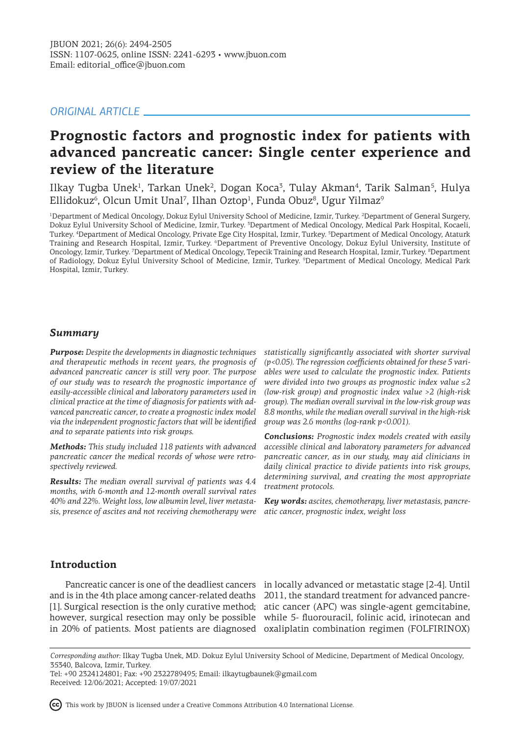# *ORIGINAL ARTICLE*

# **Prognostic factors and prognostic index for patients with advanced pancreatic cancer: Single center experience and review of the literature**

Ilkay Tugba Unek<sup>1</sup>, Tarkan Unek<sup>2</sup>, Dogan Koca<sup>3</sup>, Tulay Akman<sup>4</sup>, Tarik Salman<sup>5</sup>, Hulya Ellidokuz<sup>6</sup>, Olcun Umit Unal<sup>7</sup>, Ilhan Oztop<sup>1</sup>, Funda Obuz<sup>8</sup>, Ugur Yilmaz<sup>9</sup>

<sup>1</sup>Department of Medical Oncology, Dokuz Eylul University School of Medicine, Izmir, Turkey. <sup>2</sup>Department of General Surgery, Dokuz Eylul University School of Medicine, Izmir, Turkey. <sup>3</sup> Department of Medical Oncology, Medical Park Hospital, Kocaeli, Turkey. <sup>4</sup> Department of Medical Oncology, Private Ege City Hospital, Izmir, Turkey. <sup>5</sup> Department of Medical Oncology, Ataturk Training and Research Hospital, Izmir, Turkey. <sup>6</sup>Department of Preventive Oncology, Dokuz Eylul University, Institute of Oncology, Izmir, Turkey. <sup>7</sup>Department of Medical Oncology, Tepecik Training and Research Hospital, Izmir, Turkey. <sup>8</sup>Department of Radiology, Dokuz Eylul University School of Medicine, Izmir, Turkey. <sup>9</sup> Department of Medical Oncology, Medical Park Hospital, Izmir, Turkey.

## *Summary*

*Purpose: Despite the developments in diagnostic techniques and therapeutic methods in recent years, the prognosis of advanced pancreatic cancer is still very poor. The purpose of our study was to research the prognostic importance of easily-accessible clinical and laboratory parameters used in clinical practice at the time of diagnosis for patients with advanced pancreatic cancer, to create a prognostic index model via the independent prognostic factors that will be identified and to separate patients into risk groups.*

*Methods: This study included 118 patients with advanced pancreatic cancer the medical records of whose were retrospectively reviewed.*

*Results: The median overall survival of patients was 4.4 months, with 6-month and 12-month overall survival rates 40% and 22%. Weight loss, low albumin level, liver metastasis, presence of ascites and not receiving chemotherapy were* 

*statistically significantly associated with shorter survival (p<0.05). The regression coefficients obtained for these 5 variables were used to calculate the prognostic index. Patients were divided into two groups as prognostic index value ≤2 (low-risk group) and prognostic index value >2 (high-risk group). The median overall survival in the low-risk group was 8.8 months, while the median overall survival in the high-risk group was 2.6 months (log-rank p<0.001).*

*Conclusions: Prognostic index models created with easily accessible clinical and laboratory parameters for advanced pancreatic cancer, as in our study, may aid clinicians in daily clinical practice to divide patients into risk groups, determining survival, and creating the most appropriate treatment protocols.* 

*Key words: ascites, chemotherapy, liver metastasis, pancreatic cancer, prognostic index, weight loss*

# **Introduction**

and is in the 4th place among cancer-related deaths 2011, the standard treatment for advanced pancre-

Pancreatic cancer is one of the deadliest cancers in locally advanced or metastatic stage [2-4]. Until [1]. Surgical resection is the only curative method; atic cancer (APC) was single-agent gemcitabine, however, surgical resection may only be possible while 5- fluorouracil, folinic acid, irinotecan and in 20% of patients. Most patients are diagnosed oxaliplatin combination regimen (FOLFIRINOX)

This work by JBUON is licensed under a Creative Commons Attribution 4.0 International License.



*Corresponding author:* Ilkay Tugba Unek, MD. Dokuz Eylul University School of Medicine, Department of Medical Oncology, 35340, Balcova, Izmir, Turkey.

Tel: +90 2324124801; Fax: +90 2322789495; Email: ilkaytugbaunek@gmail.com Received: 12/06/2021; Accepted: 19/07/2021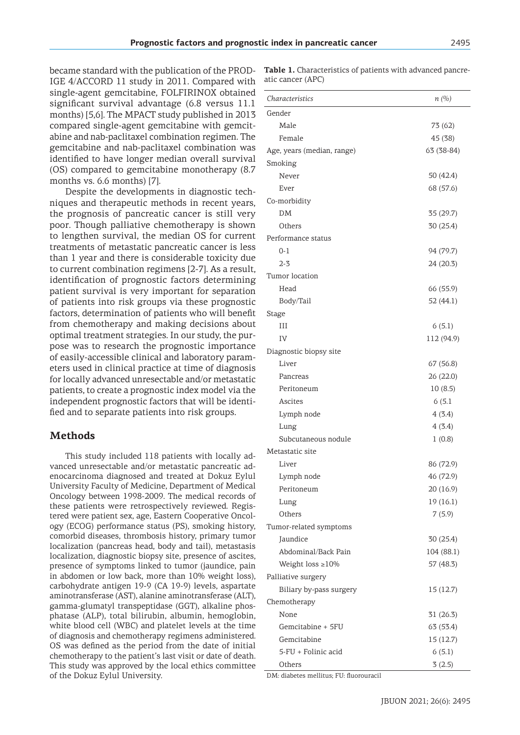became standard with the publication of the PROD-IGE 4/ACCORD 11 study in 2011. Compared with single-agent gemcitabine, FOLFIRINOX obtained significant survival advantage (6.8 versus 11.1 months) [5,6]. The MPACT study published in 2013 compared single-agent gemcitabine with gemcitabine and nab-paclitaxel combination regimen. The gemcitabine and nab-paclitaxel combination was identified to have longer median overall survival (OS) compared to gemcitabine monotherapy (8.7 months vs. 6.6 months) [7].

Despite the developments in diagnostic techniques and therapeutic methods in recent years, the prognosis of pancreatic cancer is still very poor. Though palliative chemotherapy is shown to lengthen survival, the median OS for current treatments of metastatic pancreatic cancer is less than 1 year and there is considerable toxicity due to current combination regimens [2-7]. As a result, identification of prognostic factors determining patient survival is very important for separation of patients into risk groups via these prognostic factors, determination of patients who will benefit from chemotherapy and making decisions about optimal treatment strategies. In our study, the purpose was to research the prognostic importance of easily-accessible clinical and laboratory parameters used in clinical practice at time of diagnosis for locally advanced unresectable and/or metastatic patients, to create a prognostic index model via the independent prognostic factors that will be identified and to separate patients into risk groups.

### **Methods**

This study included 118 patients with locally advanced unresectable and/or metastatic pancreatic adenocarcinoma diagnosed and treated at Dokuz Eylul University Faculty of Medicine, Department of Medical Oncology between 1998-2009. The medical records of these patients were retrospectively reviewed. Registered were patient sex, age, Eastern Cooperative Oncology (ECOG) performance status (PS), smoking history, comorbid diseases, thrombosis history, primary tumor localization (pancreas head, body and tail), metastasis localization, diagnostic biopsy site, presence of ascites, presence of symptoms linked to tumor (jaundice, pain in abdomen or low back, more than 10% weight loss), carbohydrate antigen 19-9 (CA 19-9) levels, aspartate aminotransferase (AST), alanine aminotransferase (ALT), gamma-glumatyl transpeptidase (GGT), alkaline phosphatase (ALP), total bilirubin, albumin, hemoglobin, white blood cell (WBC) and platelet levels at the time of diagnosis and chemotherapy regimens administered. OS was defined as the period from the date of initial chemotherapy to the patient's last visit or date of death. This study was approved by the local ethics committee of the Dokuz Eylul University.

**Table 1.** Characteristics of patients with advanced pancreatic cancer (APC)

| Characteristics                     | n(%)       |
|-------------------------------------|------------|
| Gender                              |            |
| Male                                | 73 (62)    |
| Female                              | 45 (38)    |
| Age, years (median, range)          | 63 (38-84) |
| Smoking                             |            |
| Never                               | 50 (42.4)  |
| Ever                                | 68 (57.6)  |
| Co-morbidity                        |            |
| DM                                  | 35 (29.7)  |
| Others                              | 30 (25.4)  |
| Performance status                  |            |
| $0 - 1$                             | 94 (79.7)  |
| $2 - 3$                             | 24 (20.3)  |
| Tumor location                      |            |
| Head                                | 66 (55.9)  |
| Body/Tail                           | 52 (44.1)  |
| <b>Stage</b>                        |            |
| Ш                                   | 6(5.1)     |
| IV                                  | 112 (94.9) |
| Diagnostic biopsy site              |            |
| Liver                               | 67 (56.8)  |
| Pancreas                            | 26 (22.0)  |
| Peritoneum                          | 10(8.5)    |
| Ascites                             | 6(5.1)     |
| Lymph node                          | 4(3.4)     |
| Lung                                | 4(3.4)     |
| Subcutaneous nodule                 | 1(0.8)     |
| Metastatic site                     |            |
| Liver                               | 86 (72.9)  |
| Lymph node                          | 46 (72.9)  |
| Peritoneum                          | 20 (16.9)  |
| Lung                                | 19(16.1)   |
| Others                              | 7(5.9)     |
| Tumor-related symptoms              |            |
| Jaundice                            | 30 (25.4)  |
| Abdominal/Back Pain                 | 104 (88.1) |
| Weight loss $\geq 10\%$             | 57 (48.3)  |
| Palliative surgery                  |            |
| Biliary by-pass surgery             | 15(12.7)   |
| Chemotherapy                        |            |
| None                                | 31 (26.3)  |
| Gemcitabine + 5FU                   | 63 (53.4)  |
| Gemcitabine                         | 15 (12.7)  |
| 5-FU + Folinic acid                 | 6(5.1)     |
| Others<br>re mollitus, ELL fluorous | 3(2.5)     |

DM: diabetes mellitus; FU: fluorouracil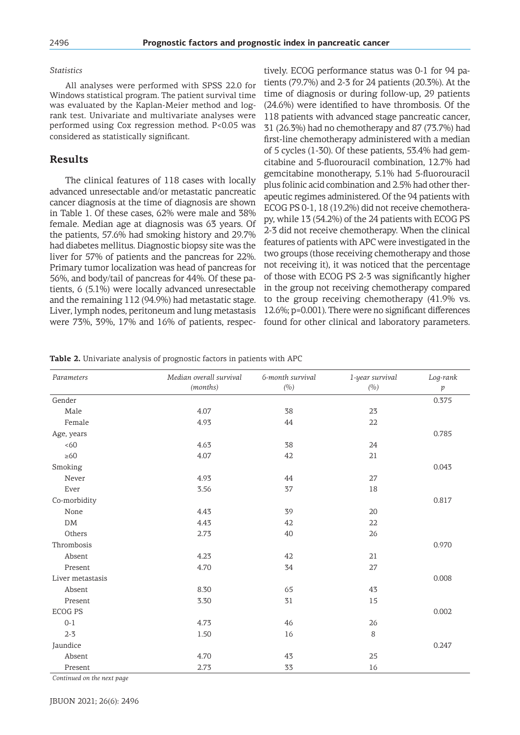#### *Statistics*

All analyses were performed with SPSS 22.0 for Windows statistical program. The patient survival time was evaluated by the Kaplan-Meier method and logrank test. Univariate and multivariate analyses were performed using Cox regression method. P<0.05 was considered as statistically significant.

#### **Results**

The clinical features of 118 cases with locally advanced unresectable and/or metastatic pancreatic cancer diagnosis at the time of diagnosis are shown in Table 1. Of these cases, 62% were male and 38% female. Median age at diagnosis was 63 years. Of the patients, 57.6% had smoking history and 29.7% had diabetes mellitus. Diagnostic biopsy site was the liver for 57% of patients and the pancreas for 22%. Primary tumor localization was head of pancreas for 56%, and body/tail of pancreas for 44%. Of these patients, 6 (5.1%) were locally advanced unresectable and the remaining 112 (94.9%) had metastatic stage. Liver, lymph nodes, peritoneum and lung metastasis were 73%, 39%, 17% and 16% of patients, respectively. ECOG performance status was 0-1 for 94 patients (79.7%) and 2-3 for 24 patients (20.3%). At the time of diagnosis or during follow-up, 29 patients (24.6%) were identified to have thrombosis. Of the 118 patients with advanced stage pancreatic cancer, 31 (26.3%) had no chemotherapy and 87 (73.7%) had first-line chemotherapy administered with a median of 5 cycles (1-30). Of these patients, 53.4% had gemcitabine and 5-fluorouracil combination, 12.7% had gemcitabine monotherapy, 5.1% had 5-fluorouracil plus folinic acid combination and 2.5% had other therapeutic regimes administered. Of the 94 patients with ECOG PS 0-1, 18 (19.2%) did not receive chemotherapy, while 13 (54.2%) of the 24 patients with ECOG PS 2-3 did not receive chemotherapy. When the clinical features of patients with APC were investigated in the two groups (those receiving chemotherapy and those not receiving it), it was noticed that the percentage of those with ECOG PS 2-3 was significantly higher in the group not receiving chemotherapy compared to the group receiving chemotherapy (41.9% vs. 12.6%; p=0.001). There were no significant differences found for other clinical and laboratory parameters.

**Table 2.** Univariate analysis of prognostic factors in patients with APC

| Parameters       | Median overall survival | 6-month survival | 1-year survival | Log-rank |
|------------------|-------------------------|------------------|-----------------|----------|
|                  | (months)                | (%)              | (%)             | p        |
| Gender           |                         |                  |                 | 0.375    |
| Male             | 4.07                    | 38               | 23              |          |
| Female           | 4.93                    | 44               | 22              |          |
| Age, years       |                         |                  |                 | 0.785    |
| <60              | 4.63                    | 38               | 24              |          |
| $\geq 60$        | 4.07                    | 42               | 21              |          |
| Smoking          |                         |                  |                 | 0.043    |
| Never            | 4.93                    | 44               | 27              |          |
| Ever             | 3.56                    | 37               | 18              |          |
| Co-morbidity     |                         |                  |                 | 0.817    |
| None             | 4.43                    | 39               | 20              |          |
| ${\rm DM}$       | 4.43                    | 42               | 22              |          |
| Others           | 2.73                    | 40               | 26              |          |
| Thrombosis       |                         |                  |                 | 0.970    |
| Absent           | 4.23                    | 42               | 21              |          |
| Present          | 4.70                    | 34               | 27              |          |
| Liver metastasis |                         |                  |                 | 0.008    |
| Absent           | 8.30                    | 65               | 43              |          |
| Present          | 3.30                    | 31               | 15              |          |
| <b>ECOG PS</b>   |                         |                  |                 | 0.002    |
| $0 - 1$          | 4.73                    | 46               | 26              |          |
| $2 - 3$          | 1.50                    | 16               | 8               |          |
| Jaundice         |                         |                  |                 | 0.247    |
| Absent           | 4.70                    | 43               | 25              |          |
| Present          | 2.73                    | 33               | 16              |          |

*Continued on the next page*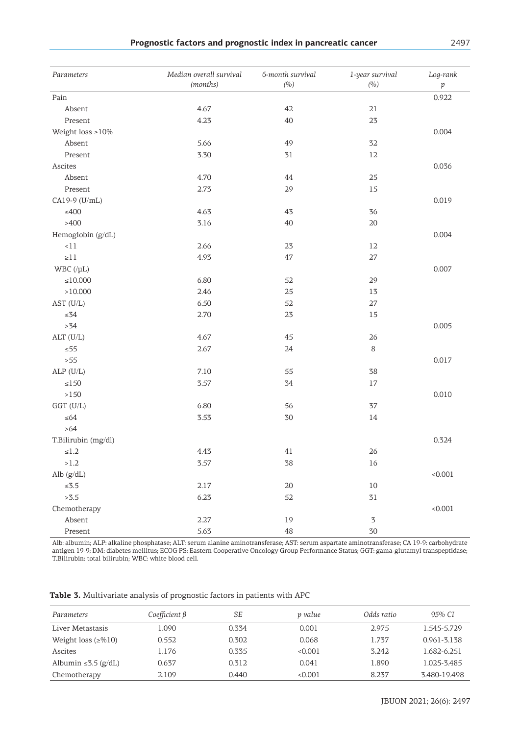|  |  |  |  | Prognostic factors and prognostic index in pancreatic cancer | 2497 |
|--|--|--|--|--------------------------------------------------------------|------|
|--|--|--|--|--------------------------------------------------------------|------|

| Parameters             | Median overall survival<br>(months) | 6-month survival<br>(%) | 1-year survival<br>(0, 0) | Log-rank<br>$\,p\,$ |
|------------------------|-------------------------------------|-------------------------|---------------------------|---------------------|
| Pain                   |                                     |                         |                           | 0.922               |
| Absent                 | 4.67                                | 42                      | 21                        |                     |
| Present                | 4.23                                | 40                      | 23                        |                     |
| Weight loss $\geq$ 10% |                                     |                         |                           | 0.004               |
| Absent                 | 5.66                                | 49                      | 32                        |                     |
| Present                | 3.30                                | 31                      | 12                        |                     |
| Ascites                |                                     |                         |                           | 0.036               |
| Absent                 | 4.70                                | 44                      | 25                        |                     |
| Present                | 2.73                                | 29                      | 15                        |                     |
| CA19-9 (U/mL)          |                                     |                         |                           | 0.019               |
| $\leq 400$             | 4.63                                | 43                      | 36                        |                     |
| >400                   | 3.16                                | 40                      | 20                        |                     |
| Hemoglobin (g/dL)      |                                     |                         |                           | 0.004               |
| $<\!11$                | 2.66                                | 23                      | 12                        |                     |
| ${\geq}11$             | 4.93                                | $47\,$                  | $27\,$                    |                     |
| WBC $(\mu L)$          |                                     |                         |                           | 0.007               |
| ${\leq}10.000$         | 6.80                                | 52                      | 29                        |                     |
| >10.000                | 2.46                                | 25                      | 13                        |                     |
| AST (U/L)              | 6.50                                | 52                      | $27\,$                    |                     |
| ${\leq}34$             | 2.70                                | 23                      | 15                        |                     |
| $>34$                  |                                     |                         |                           | 0.005               |
| ALT (U/L)              | 4.67                                | 45                      | 26                        |                     |
| $\leq 55$              | 2.67                                | $24\,$                  | $\,8\,$                   |                     |
| > 55                   |                                     |                         |                           | 0.017               |
| $ALP$ (U/L)            | 7.10                                | 55                      | 38                        |                     |
| ${\leq}150$            | 3.57                                | 34                      | $17\,$                    |                     |
| $>150\,$               |                                     |                         |                           | 0.010               |
| $GGT$ (U/L)            | 6.80                                | 56                      | 37                        |                     |
| $\leq 64$              | 3.53                                | 30                      | 14                        |                     |
| $>64$                  |                                     |                         |                           |                     |
| T.Bilirubin (mg/dl)    |                                     |                         |                           | 0.324               |
| ${\leq}1.2$            | 4.43                                | 41                      | 26                        |                     |
| >1.2                   | 3.57                                | 38                      | $16$                      |                     |
| Alb $(g/dL)$           |                                     |                         |                           | < 0.001             |
| ${\le}3.5$             | 2.17                                | $20\,$                  | $10\,$                    |                     |
| >3.5                   | 6.23                                | 52                      | 31                        |                     |
| Chemotherapy           |                                     |                         |                           | < 0.001             |
| Absent                 | 2.27                                | 19                      | $\mathfrak{Z}$            |                     |
| Present                | 5.63                                | 48                      | 30                        |                     |

Alb: albumin; ALP: alkaline phosphatase; ALT: serum alanine aminotransferase; AST: serum aspartate aminotransferase; CA 19-9: carbohydrate antigen 19-9; DM: diabetes mellitus; ECOG PS: Eastern Cooperative Oncology Group Performance Status; GGT: gama-glutamyl transpeptidase; T.Bilirubin: total bilirubin; WBC: white blood cell.

**Table 3.** Multivariate analysis of prognostic factors in patients with APC

| Parameters                | Coefficient β | SE    | p value | Odds ratio | $95\%$ CI    |
|---------------------------|---------------|-------|---------|------------|--------------|
| Liver Metastasis          | 1.090         | 0.334 | 0.001   | 2.975      | 1.545-5.729  |
| Weight loss $(\ge 0.10)$  | 0.552         | 0.302 | 0.068   | 1.737      | 0.961-3.138  |
| Ascites                   | 1.176         | 0.335 | < 0.001 | 3.242      | 1.682-6.251  |
| Albumin $\leq 5.5$ (g/dL) | 0.637         | 0.312 | 0.041   | 1.890      | 1.025-3.485  |
| Chemotherapy              | 2.109         | 0.440 | < 0.001 | 8.237      | 3.480-19.498 |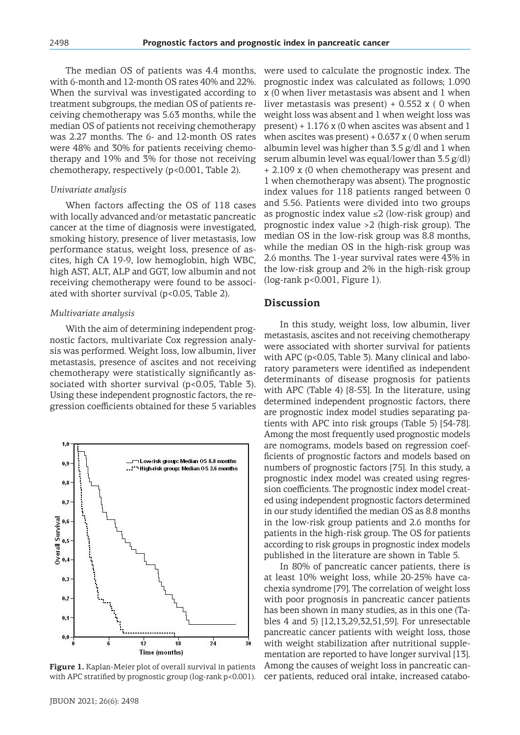The median OS of patients was 4.4 months, with 6-month and 12-month OS rates 40% and 22%. When the survival was investigated according to treatment subgroups, the median OS of patients receiving chemotherapy was 5.63 months, while the median OS of patients not receiving chemotherapy was 2.27 months. The 6- and 12-month OS rates were 48% and 30% for patients receiving chemotherapy and 19% and 3% for those not receiving chemotherapy, respectively (p<0.001, Table 2).

#### *Univariate analysis*

When factors affecting the OS of 118 cases with locally advanced and/or metastatic pancreatic cancer at the time of diagnosis were investigated, smoking history, presence of liver metastasis, low performance status, weight loss, presence of ascites, high CA 19-9, low hemoglobin, high WBC, high AST, ALT, ALP and GGT, low albumin and not receiving chemotherapy were found to be associated with shorter survival (p<0.05, Table 2).

#### *Multivariate analysis*

With the aim of determining independent prognostic factors, multivariate Cox regression analysis was performed. Weight loss, low albumin, liver metastasis, presence of ascites and not receiving chemotherapy were statistically significantly associated with shorter survival (p<0.05, Table 3). Using these independent prognostic factors, the regression coefficients obtained for these 5 variables



**Figure 1.** Kaplan-Meier plot of overall survival in patients with APC stratified by prognostic group (log-rank p<0.001).

were used to calculate the prognostic index. The prognostic index was calculated as follows; 1.090 x (0 when liver metastasis was absent and 1 when liver metastasis was present)  $+ 0.552$  x (0 when weight loss was absent and 1 when weight loss was present)  $+1.176$  x (0 when ascites was absent and 1 when ascites was present)  $+0.637$  x (0 when serum albumin level was higher than 3.5 g/dl and 1 when serum albumin level was equal/lower than 3.5 g/dl) + 2.109 x (0 when chemotherapy was present and 1 when chemotherapy was absent). The prognostic index values for 118 patients ranged between 0 and 5.56. Patients were divided into two groups as prognostic index value ≤2 (low-risk group) and prognostic index value >2 (high-risk group). The median OS in the low-risk group was 8.8 months, while the median OS in the high-risk group was 2.6 months. The 1-year survival rates were 43% in the low-risk group and 2% in the high-risk group (log-rank p<0.001, Figure 1).

#### **Discussion**

In this study, weight loss, low albumin, liver metastasis, ascites and not receiving chemotherapy were associated with shorter survival for patients with APC (p<0.05, Table 3). Many clinical and laboratory parameters were identified as independent determinants of disease prognosis for patients with APC (Table 4) [8-53]. In the literature, using determined independent prognostic factors, there are prognostic index model studies separating patients with APC into risk groups (Table 5) [54-78]. Among the most frequently used prognostic models are nomograms, models based on regression coefficients of prognostic factors and models based on numbers of prognostic factors [75]. In this study, a prognostic index model was created using regression coefficients. The prognostic index model created using independent prognostic factors determined in our study identified the median OS as 8.8 months in the low-risk group patients and 2.6 months for patients in the high-risk group. The OS for patients according to risk groups in prognostic index models published in the literature are shown in Table 5.

In 80% of pancreatic cancer patients, there is at least 10% weight loss, while 20-25% have cachexia syndrome [79]. The correlation of weight loss with poor prognosis in pancreatic cancer patients has been shown in many studies, as in this one (Tables 4 and 5) [12,13,29,32,51,59]. For unresectable pancreatic cancer patients with weight loss, those with weight stabilization after nutritional supplementation are reported to have longer survival [13]. Among the causes of weight loss in pancreatic cancer patients, reduced oral intake, increased catabo-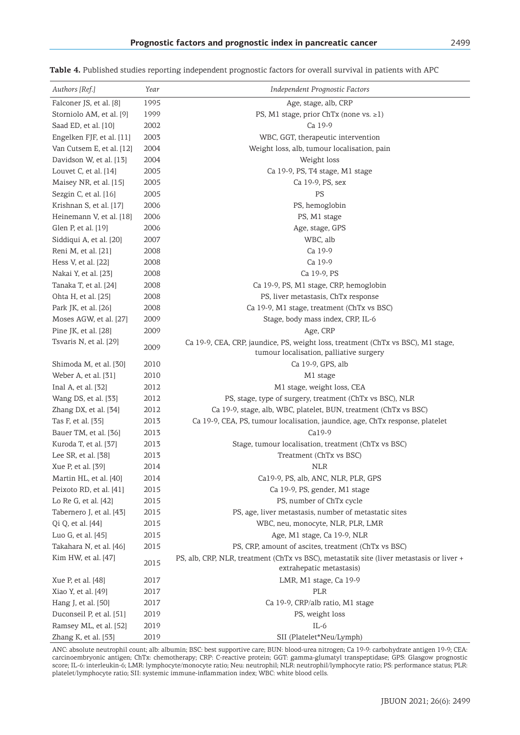| Authors [Ref.]            | Year | Independent Prognostic Factors                                                                                              |
|---------------------------|------|-----------------------------------------------------------------------------------------------------------------------------|
| Falconer JS, et al. [8]   | 1995 | Age, stage, alb, CRP                                                                                                        |
| Storniolo AM, et al. [9]  | 1999 | PS, M1 stage, prior ChTx (none vs. $\geq$ 1)                                                                                |
| Saad ED, et al. [10]      | 2002 | Ca 19-9                                                                                                                     |
| Engelken FJF, et al. [11] | 2003 | WBC, GGT, therapeutic intervention                                                                                          |
| Van Cutsem E, et al. [12] | 2004 | Weight loss, alb, tumour localisation, pain                                                                                 |
| Davidson W, et al. [13]   | 2004 | Weight loss                                                                                                                 |
| Louvet C, et al. [14]     | 2005 | Ca 19-9, PS, T4 stage, M1 stage                                                                                             |
| Maisey NR, et al. [15]    | 2005 | Ca 19-9, PS, sex                                                                                                            |
| Sezgin C, et al. [16]     | 2005 | PS                                                                                                                          |
| Krishnan S, et al. [17]   | 2006 | PS, hemoglobin                                                                                                              |
| Heinemann V, et al. [18]  | 2006 | PS, M1 stage                                                                                                                |
| Glen P, et al. [19]       | 2006 | Age, stage, GPS                                                                                                             |
| Siddiqui A, et al. [20]   | 2007 | WBC, alb                                                                                                                    |
| Reni M, et al. [21]       | 2008 | Ca 19-9                                                                                                                     |
| Hess V, et al. [22]       | 2008 | Ca 19-9                                                                                                                     |
| Nakai Y, et al. [23]      | 2008 | Ca 19-9, PS                                                                                                                 |
| Tanaka T, et al. [24]     | 2008 | Ca 19-9, PS, M1 stage, CRP, hemoglobin                                                                                      |
| Ohta H, et al. [25]       | 2008 | PS, liver metastasis, ChTx response                                                                                         |
| Park JK, et al. [26]      | 2008 | Ca 19-9, M1 stage, treatment (ChTx vs BSC)                                                                                  |
| Moses AGW, et al. [27]    | 2009 | Stage, body mass index, CRP, IL-6                                                                                           |
| Pine JK, et al. $[28]$    | 2009 | Age, CRP                                                                                                                    |
| Tsvaris N, et al. [29]    | 2009 | Ca 19-9, CEA, CRP, jaundice, PS, weight loss, treatment (ChTx vs BSC), M1 stage,<br>tumour localisation, palliative surgery |
| Shimoda M, et al. [30]    | 2010 | Ca 19-9, GPS, alb                                                                                                           |
| Weber A, et al. [31]      | 2010 | M1 stage                                                                                                                    |
| Inal A, et al. [32]       | 2012 | M1 stage, weight loss, CEA                                                                                                  |
| Wang DS, et al. [33]      | 2012 | PS, stage, type of surgery, treatment (ChTx vs BSC), NLR                                                                    |
| Zhang DX, et al. [34]     | 2012 | Ca 19-9, stage, alb, WBC, platelet, BUN, treatment (ChTx vs BSC)                                                            |
| Tas F, et al. [35]        | 2013 | Ca 19-9, CEA, PS, tumour localisation, jaundice, age, ChTx response, platelet                                               |
| Bauer TM, et al. [36]     | 2013 | Ca19-9                                                                                                                      |
| Kuroda T, et al. [37]     | 2013 | Stage, tumour localisation, treatment (ChTx vs BSC)                                                                         |
| Lee SR, et al. [38]       | 2013 | Treatment (ChTx vs BSC)                                                                                                     |
| Xue P, et al. [39]        | 2014 | <b>NLR</b>                                                                                                                  |
| Martin HL, et al. [40]    | 2014 | Ca19-9, PS, alb, ANC, NLR, PLR, GPS                                                                                         |
| Peixoto RD, et al. [41]   | 2015 | Ca 19-9, PS, gender, M1 stage                                                                                               |
| Lo Re G, et al. [42]      | 2015 | PS, number of ChTx cycle                                                                                                    |
| Tabernero J, et al. [43]  | 2015 | PS, age, liver metastasis, number of metastatic sites                                                                       |
| Qi Q, et al. [44]         | 2015 | WBC, neu, monocyte, NLR, PLR, LMR                                                                                           |
| Luo G, et al. [45]        | 2015 | Age, M1 stage, Ca 19-9, NLR                                                                                                 |
| Takahara N, et al. [46]   | 2015 | PS, CRP, amount of ascites, treatment (ChTx vs BSC)                                                                         |
| Kim HW, et al. [47]       |      | PS, alb, CRP, NLR, treatment (ChTx vs BSC), metastatik site (liver metastasis or liver +                                    |
|                           | 2015 | extrahepatic metastasis)                                                                                                    |
| Xue P, et al. [48]        | 2017 | LMR, M1 stage, Ca 19-9                                                                                                      |
| Xiao Y, et al. [49]       | 2017 | PLR                                                                                                                         |
| Hang J, et al. [50]       | 2017 | Ca 19-9, CRP/alb ratio, M1 stage                                                                                            |
| Duconseil P, et al. [51]  | 2019 | PS, weight loss                                                                                                             |
| Ramsey ML, et al. [52]    | 2019 | $IL-6$                                                                                                                      |
| Zhang K, et al. [53]      | 2019 | SII (Platelet*Neu/Lymph)                                                                                                    |

**Table 4.** Published studies reporting independent prognostic factors for overall survival in patients with APC

ANC: absolute neutrophil count; alb: albumin; BSC: best supportive care; BUN: blood-urea nitrogen; Ca 19-9: carbohydrate antigen 19-9; CEA: carcinoembryonic antigen; ChTx: chemotherapy; CRP: C-reactive protein; GGT: gamma-glumatyl transpeptidase; GPS: Glasgow prognostic score; IL-6: interleukin-6; LMR: lymphocyte/monocyte ratio; Neu: neutrophil; NLR: neutrophil/lymphocyte ratio; PS: performance status; PLR: platelet/lymphocyte ratio; SII: systemic immune-inflammation index; WBC: white blood cells.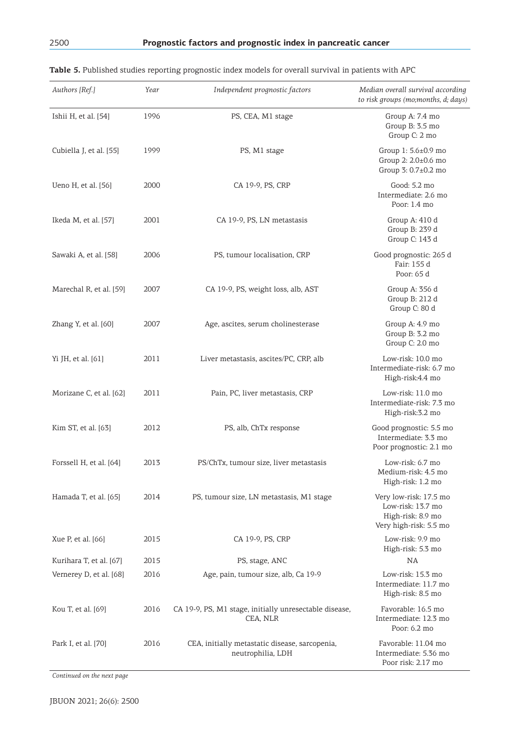| Authors [Ref.]          | Year | Independent prognostic factors                                      | Median overall survival according                                                          |
|-------------------------|------|---------------------------------------------------------------------|--------------------------------------------------------------------------------------------|
|                         |      |                                                                     | to risk groups (mo;months, d; days)                                                        |
| Ishii H, et al. [54]    | 1996 | PS, CEA, M1 stage                                                   | Group A: 7.4 mo<br>Group B: 3.5 mo<br>Group C: 2 mo                                        |
| Cubiella J, et al. [55] | 1999 | PS, M1 stage                                                        | Group 1: 5.6±0.9 mo<br>Group 2: 2.0±0.6 mo<br>Group 3: 0.7±0.2 mo                          |
| Ueno H, et al. [56]     | 2000 | CA 19-9, PS, CRP                                                    | Good: 5.2 mo<br>Intermediate: 2.6 mo<br>Poor: 1.4 mo                                       |
| Ikeda M, et al. [57]    | 2001 | CA 19-9, PS, LN metastasis                                          | Group A: 410 d<br>Group B: 239 d<br>Group C: 143 d                                         |
| Sawaki A, et al. [58]   | 2006 | PS, tumour localisation, CRP                                        | Good prognostic: 265 d<br>Fair: 155 d<br>Poor: 65 d                                        |
| Marechal R, et al. [59] | 2007 | CA 19-9, PS, weight loss, alb, AST                                  | Group A: 356 d<br>Group B: 212 d<br>Group C: 80 d                                          |
| Zhang Y, et al. [60]    | 2007 | Age, ascites, serum cholinesterase                                  | Group A: 4.9 mo<br>Group B: 3.2 mo<br>Group C: 2.0 mo                                      |
| Yi JH, et al. [61]      | 2011 | Liver metastasis, ascites/PC, CRP, alb                              | Low-risk: 10.0 mo<br>Intermediate-risk: 6.7 mo<br>High-risk:4.4 mo                         |
| Morizane C, et al. [62] | 2011 | Pain, PC, liver metastasis, CRP                                     | Low-risk: 11.0 mo<br>Intermediate-risk: 7.3 mo<br>High-risk:3.2 mo                         |
| Kim ST, et al. [63]     | 2012 | PS, alb, ChTx response                                              | Good prognostic: 5.5 mo<br>Intermediate: 3.3 mo<br>Poor prognostic: 2.1 mo                 |
| Forssell H, et al. [64] | 2013 | PS/ChTx, tumour size, liver metastasis                              | Low-risk: 6.7 mo<br>Medium-risk: 4.5 mo<br>High-risk: 1.2 mo                               |
| Hamada T, et al. [65]   | 2014 | PS, tumour size, LN metastasis, M1 stage                            | Very low-risk: 17.5 mo<br>Low-risk: 13.7 mo<br>High-risk: 8.9 mo<br>Very high-risk: 5.5 mo |
| Xue P, et al. [66]      | 2015 | CA 19-9, PS, CRP                                                    | Low-risk: 9.9 mo<br>High-risk: 5.3 mo                                                      |
| Kurihara T, et al. [67] | 2015 | PS, stage, ANC                                                      | NA                                                                                         |
| Vernerey D, et al. [68] | 2016 | Age, pain, tumour size, alb, Ca 19-9                                | Low-risk: 15.3 mo<br>Intermediate: 11.7 mo<br>High-risk: 8.5 mo                            |
| Kou T, et al. [69]      | 2016 | CA 19-9, PS, M1 stage, initially unresectable disease,<br>CEA, NLR  | Favorable: 16.5 mo<br>Intermediate: 12.3 mo<br>Poor: 6.2 mo                                |
| Park I, et al. [70]     | 2016 | CEA, initially metastatic disease, sarcopenia,<br>neutrophilia, LDH | Favorable: 11.04 mo<br>Intermediate: 5.36 mo<br>Poor risk: 2.17 mo                         |

*Continued on the next page*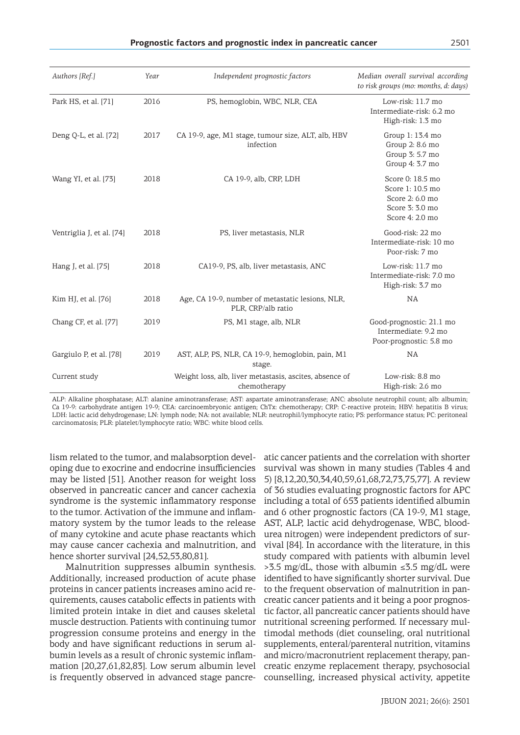| Authors [Ref.]            | Year | Independent prognostic factors                                          | Median overall survival according<br>to risk groups (mo: months, d: days)                     |
|---------------------------|------|-------------------------------------------------------------------------|-----------------------------------------------------------------------------------------------|
| Park HS, et al. [71]      | 2016 | PS, hemoglobin, WBC, NLR, CEA                                           | Low-risk: 11.7 mo<br>Intermediate-risk: 6.2 mo<br>High-risk: 1.3 mo                           |
| Deng Q-L, et al. [72]     | 2017 | CA 19-9, age, M1 stage, tumour size, ALT, alb, HBV<br>infection         | Group 1: 13.4 mo<br>Group 2: 8.6 mo<br>Group 3: 5.7 mo<br>Group 4: 3.7 mo                     |
| Wang YI, et al. [73]      | 2018 | CA 19-9, alb, CRP, LDH                                                  | Score 0: 18.5 mo<br>Score 1: 10.5 mo<br>Score 2: 6.0 mo<br>Score 3: 3.0 mo<br>Score 4: 2.0 mo |
| Ventriglia J, et al. [74] | 2018 | PS, liver metastasis, NLR                                               | Good-risk: 22 mo<br>Intermediate-risk: 10 mo<br>Poor-risk: 7 mo                               |
| Hang J, et al. [75]       | 2018 | CA19-9, PS, alb, liver metastasis, ANC                                  | Low-risk: 11.7 mo<br>Intermediate-risk: 7.0 mo<br>High-risk: 3.7 mo                           |
| Kim HJ, et al. [76]       | 2018 | Age, CA 19-9, number of metastatic lesions, NLR,<br>PLR, CRP/alb ratio  | NA                                                                                            |
| Chang CF, et al. [77]     | 2019 | PS, M1 stage, alb, NLR                                                  | Good-prognostic: 21.1 mo<br>Intermediate: 9.2 mo<br>Poor-prognostic: 5.8 mo                   |
| Gargiulo P, et al. [78]   | 2019 | AST, ALP, PS, NLR, CA 19-9, hemoglobin, pain, M1<br>stage.              | NA                                                                                            |
| Current study             |      | Weight loss, alb, liver metastasis, ascites, absence of<br>chemotherapy | Low-risk: 8.8 mo<br>High-risk: 2.6 mo                                                         |

ALP: Alkaline phosphatase; ALT: alanine aminotransferase; AST: aspartate aminotransferase; ANC: absolute neutrophil count; alb: albumin; Ca 19-9: carbohydrate antigen 19-9; CEA: carcinoembryonic antigen; ChTx: chemotherapy; CRP: C-reactive protein; HBV: hepatitis B virus; LDH: lactic acid dehydrogenase; LN: lymph node; NA: not available; NLR: neutrophil/lymphocyte ratio; PS: performance status; PC: peritoneal carcinomatosis; PLR: platelet/lymphocyte ratio; WBC: white blood cells.

lism related to the tumor, and malabsorption developing due to exocrine and endocrine insufficiencies may be listed [51]. Another reason for weight loss observed in pancreatic cancer and cancer cachexia syndrome is the systemic inflammatory response to the tumor. Activation of the immune and inflammatory system by the tumor leads to the release of many cytokine and acute phase reactants which may cause cancer cachexia and malnutrition, and hence shorter survival [24,52,53,80,81].

Malnutrition suppresses albumin synthesis. Additionally, increased production of acute phase proteins in cancer patients increases amino acid requirements, causes catabolic effects in patients with limited protein intake in diet and causes skeletal muscle destruction. Patients with continuing tumor progression consume proteins and energy in the body and have significant reductions in serum albumin levels as a result of chronic systemic inflammation [20,27,61,82,83]. Low serum albumin level

is frequently observed in advanced stage pancre-counselling, increased physical activity, appetite atic cancer patients and the correlation with shorter survival was shown in many studies (Tables 4 and 5) [8,12,20,30,34,40,59,61,68,72,73,75,77]. A review of 36 studies evaluating prognostic factors for APC including a total of 653 patients identified albumin and 6 other prognostic factors (CA 19-9, M1 stage, AST, ALP, lactic acid dehydrogenase, WBC, bloodurea nitrogen) were independent predictors of survival [84]. In accordance with the literature, in this study compared with patients with albumin level >3.5 mg/dL, those with albumin ≤3.5 mg/dL were identified to have significantly shorter survival. Due to the frequent observation of malnutrition in pancreatic cancer patients and it being a poor prognostic factor, all pancreatic cancer patients should have nutritional screening performed. If necessary multimodal methods (diet counseling, oral nutritional supplements, enteral/parenteral nutrition, vitamins and micro/macronutrient replacement therapy, pancreatic enzyme replacement therapy, psychosocial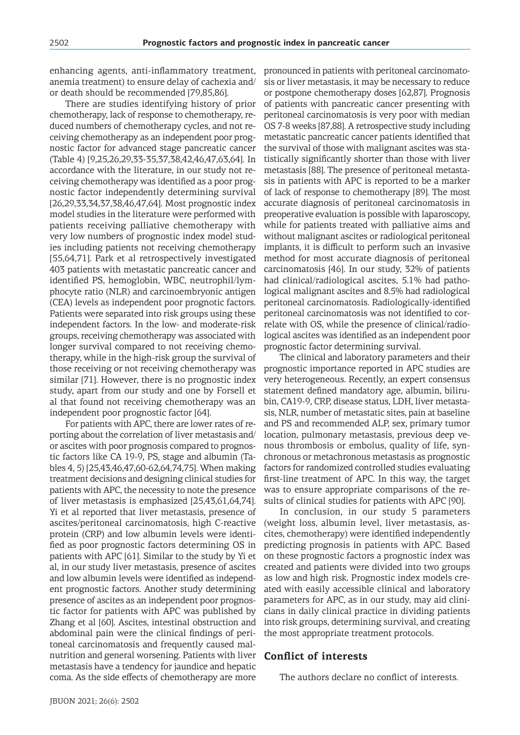enhancing agents, anti-inflammatory treatment, anemia treatment) to ensure delay of cachexia and/ or death should be recommended [79,85,86].

There are studies identifying history of prior chemotherapy, lack of response to chemotherapy, reduced numbers of chemotherapy cycles, and not receiving chemotherapy as an independent poor prognostic factor for advanced stage pancreatic cancer (Table 4) [9,25,26,29,33-35,37,38,42,46,47,63,64]. In accordance with the literature, in our study not receiving chemotherapy was identified as a poor prognostic factor independently determining survival [26,29,33,34,37,38,46,47,64]. Most prognostic index model studies in the literature were performed with patients receiving palliative chemotherapy with very low numbers of prognostic index model studies including patients not receiving chemotherapy [55,64,71]. Park et al retrospectively investigated 403 patients with metastatic pancreatic cancer and identified PS, hemoglobin, WBC, neutrophil/lymphocyte ratio (NLR) and carcinoembryonic antigen (CEA) levels as independent poor prognotic factors. Patients were separated into risk groups using these independent factors. In the low- and moderate-risk groups, receiving chemotherapy was associated with longer survival compared to not receiving chemotherapy, while in the high-risk group the survival of those receiving or not receiving chemotherapy was similar [71]. However, there is no prognostic index study, apart from our study and one by Forsell et al that found not receiving chemotherapy was an independent poor prognostic factor [64].

For patients with APC, there are lower rates of reporting about the correlation of liver metastasis and/ or ascites with poor prognosis compared to prognostic factors like CA 19-9, PS, stage and albumin (Tables 4, 5) [25,43,46,47,60-62,64,74,75]. When making treatment decisions and designing clinical studies for patients with APC, the necessity to note the presence of liver metastasis is emphasized [25,43,61,64,74]. Yi et al reported that liver metastasis, presence of ascites/peritoneal carcinomatosis, high C-reactive protein (CRP) and low albumin levels were identified as poor prognostic factors determining OS in patients with APC [61]. Similar to the study by Yi et al, in our study liver metastasis, presence of ascites and low albumin levels were identified as independent prognostic factors. Another study determining presence of ascites as an independent poor prognostic factor for patients with APC was published by Zhang et al [60]. Ascites, intestinal obstruction and abdominal pain were the clinical findings of peritoneal carcinomatosis and frequently caused malnutrition and general worsening. Patients with liver metastasis have a tendency for jaundice and hepatic coma. As the side effects of chemotherapy are more

pronounced in patients with peritoneal carcinomatosis or liver metastasis, it may be necessary to reduce or postpone chemotherapy doses [62,87]. Prognosis of patients with pancreatic cancer presenting with peritoneal carcinomatosis is very poor with median OS 7-8 weeks [87,88]. A retrospective study including metastatic pancreatic cancer patients identified that the survival of those with malignant ascites was statistically significantly shorter than those with liver metastasis [88]. The presence of peritoneal metastasis in patients with APC is reported to be a marker of lack of response to chemotherapy [89]. The most accurate diagnosis of peritoneal carcinomatosis in preoperative evaluation is possible with laparoscopy, while for patients treated with palliative aims and without malignant ascites or radiological peritoneal implants, it is difficult to perform such an invasive method for most accurate diagnosis of peritoneal carcinomatosis [46]. In our study, 32% of patients had clinical/radiological ascites, 5.1% had pathological malignant ascites and 8.5% had radiological peritoneal carcinomatosis. Radiologically-identified peritoneal carcinomatosis was not identified to correlate with OS, while the presence of clinical/radiological ascites was identified as an independent poor prognostic factor determining survival.

The clinical and laboratory parameters and their prognostic importance reported in APC studies are very heterogeneous. Recently, an expert consensus statement defined mandatory age, albumin, bilirubin, CA19-9, CRP, disease status, LDH, liver metastasis, NLR, number of metastatic sites, pain at baseline and PS and recommended ALP, sex, primary tumor location, pulmonary metastasis, previous deep venous thrombosis or embolus, quality of life, synchronous or metachronous metastasis as prognostic factors for randomized controlled studies evaluating first-line treatment of APC. In this way, the target was to ensure appropriate comparisons of the results of clinical studies for patients with APC [90].

In conclusion, in our study 5 parameters (weight loss, albumin level, liver metastasis, ascites, chemotherapy) were identified independently predicting prognosis in patients with APC. Based on these prognostic factors a prognostic index was created and patients were divided into two groups as low and high risk. Prognostic index models created with easily accessible clinical and laboratory parameters for APC, as in our study, may aid clinicians in daily clinical practice in dividing patients into risk groups, determining survival, and creating the most appropriate treatment protocols.

#### **Conflict of interests**

The authors declare no conflict of interests.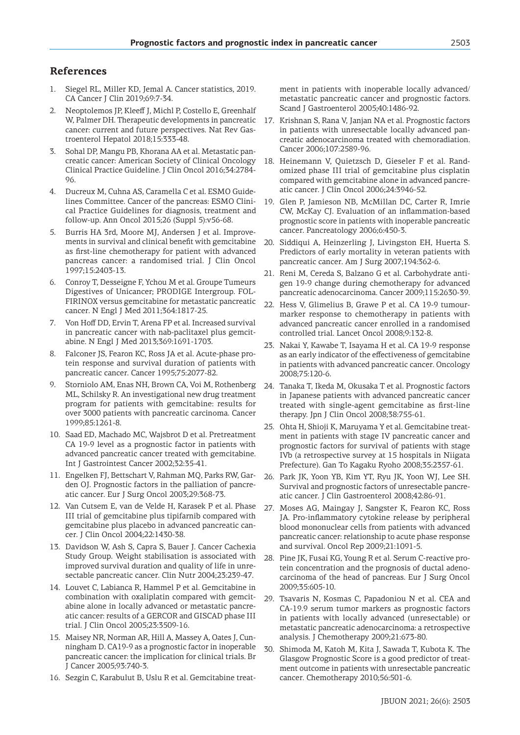## **References**

- 1. Siegel RL, Miller KD, Jemal A. Cancer statistics, 2019. CA Cancer J Clin 2019;69:7-34.
- 2. Neoptolemos JP, Kleeff J, Michl P, Costello E, Greenhalf W, Palmer DH. Therapeutic developments in pancreatic cancer: current and future perspectives. Nat Rev Gastroenterol Hepatol 2018;15:333-48.
- Sohal DP, Mangu PB, Khorana AA et al. Metastatic pancreatic cancer: American Society of Clinical Oncology Clinical Practice Guideline. J Clin Oncol 2016;34:2784- 96.
- 4. Ducreux M, Cuhna AS, Caramella C et al. ESMO Guidelines Committee. Cancer of the pancreas: ESMO Clinical Practice Guidelines for diagnosis, treatment and follow-up. Ann Oncol 2015;26 (Suppl 5):v56-68.
- 5. Burris HA 3rd, Moore MJ, Andersen J et al. Improvements in survival and clinical benefit with gemcitabine as first-line chemotherapy for patient with advanced pancreas cancer: a randomised trial. J Clin Oncol 1997;15:2403-13.
- 6. Conroy T, Desseigne F, Ychou M et al. Groupe Tumeurs Digestives of Unicancer; PRODIGE Intergroup. FOL-FIRINOX versus gemcitabine for metastatic pancreatic cancer. N Engl J Med 2011;364:1817-25.
- 7. Von Hoff DD, Ervin T, Arena FP et al. Increased survival in pancreatic cancer with nab-paclitaxel plus gemcitabine. N Engl J Med 2013;369:1691-1703.
- 8. Falconer JS, Fearon KC, Ross JA et al. Acute-phase protein response and survival duration of patients with pancreatic cancer. Cancer 1995;75:2077-82.
- 9. Storniolo AM, Enas NH, Brown CA, Voi M, Rothenberg ML, Schilsky R. An investigational new drug treatment program for patients with gemcitabine: results for over 3000 patients with pancreatic carcinoma. Cancer 1999;85:1261-8.
- 10. Saad ED, Machado MC, Wajsbrot D et al. Pretreatment CA 19-9 level as a prognostic factor in patients with advanced pancreatic cancer treated with gemcitabine. Int J Gastrointest Cancer 2002;32:35-41.
- 11. Engelken FJ, Bettschart V, Rahman MQ, Parks RW, Garden OJ. Prognostic factors in the palliation of pancreatic cancer. Eur J Surg Oncol 2003;29:368-73.
- 12. Van Cutsem E, van de Velde H, Karasek P et al. Phase III trial of gemcitabine plus tipifarnib compared with gemcitabine plus placebo in advanced pancreatic cancer. J Clin Oncol 2004;22:1430-38.
- 13. Davidson W, Ash S, Capra S, Bauer J. Cancer Cachexia Study Group. Weight stabilisation is associated with improved survival duration and quality of life in unresectable pancreatic cancer. Clin Nutr 2004;23:239-47.
- 14. Louvet C, Labianca R, Hammel P et al. Gemcitabine in combination with oxaliplatin compared with gemcitabine alone in locally advanced or metastatic pancreatic cancer: results of a GERCOR and GISCAD phase III trial. J Clin Oncol 2005;23:3509-16.
- 15. Maisey NR, Norman AR, Hill A, Massey A, Oates J, Cunningham D. CA19-9 as a prognostic factor in inoperable pancreatic cancer: the implication for clinical trials. Br J Cancer 2005;93:740-3.
- 16. Sezgin C, Karabulut B, Uslu R et al. Gemcitabine treat-

ment in patients with inoperable locally advanced/ metastatic pancreatic cancer and prognostic factors. Scand J Gastroenterol 2005;40:1486-92.

- 17. Krishnan S, Rana V, Janjan NA et al. Prognostic factors in patients with unresectable locally advanced pancreatic adenocarcinoma treated with chemoradiation. Cancer 2006;107:2589-96.
- 18. Heinemann V, Quietzsch D, Gieseler F et al. Randomized phase III trial of gemcitabine plus cisplatin compared with gemcitabine alone in advanced pancreatic cancer. J Clin Oncol 2006;24:3946-52.
- 19. Glen P, Jamieson NB, McMillan DC, Carter R, Imrie CW, McKay CJ. Evaluation of an inflammation-based prognostic score in patients with inoperable pancreatic cancer. Pancreatology 2006;6:450-3.
- 20. Siddiqui A, Heinzerling J, Livingston EH, Huerta S. Predictors of early mortality in veteran patients with pancreatic cancer. Am J Surg 2007;194:362-6.
- 21. Reni M, Cereda S, Balzano G et al. Carbohydrate antigen 19-9 change during chemotherapy for advanced pancreatic adenocarcinoma. Cancer 2009;115:2630-39.
- 22. Hess V, Glimelius B, Grawe P et al. CA 19-9 tumourmarker response to chemotherapy in patients with advanced pancreatic cancer enrolled in a randomised controlled trial. Lancet Oncol 2008;9:132-8.
- 23. Nakai Y, Kawabe T, Isayama H et al. CA 19-9 response as an early indicator of the effectiveness of gemcitabine in patients with advanced pancreatic cancer. Oncology 2008;75:120-6.
- 24. Tanaka T, Ikeda M, Okusaka T et al. Prognostic factors in Japanese patients with advanced pancreatic cancer treated with single-agent gemcitabine as first-line therapy. Jpn J Clin Oncol 2008;38:755-61.
- 25. Ohta H, Shioji K, Maruyama Y et al. Gemcitabine treatment in patients with stage IV pancreatic cancer and prognostic factors for survival of patients with stage IVb (a retrospective survey at 15 hospitals in Niigata Prefecture). Gan To Kagaku Ryoho 2008;35:2357-61.
- 26. Park JK, Yoon YB, Kim YT, Ryu JK, Yoon WJ, Lee SH. Survival and prognostic factors of unresectable pancreatic cancer. J Clin Gastroenterol 2008;42:86-91.
- 27. Moses AG, Maingay J, Sangster K, Fearon KC, Ross JA. Pro-inflammatory cytokine release by peripheral blood mononuclear cells from patients with advanced pancreatic cancer: relationship to acute phase response and survival. Oncol Rep 2009;21:1091-5.
- 28. Pine JK, Fusai KG, Young R et al. Serum C-reactive protein concentration and the prognosis of ductal adenocarcinoma of the head of pancreas. Eur J Surg Oncol 2009;35:605-10.
- 29. Tsavaris N, Kosmas C, Papadoniou N et al. CEA and CA-19.9 serum tumor markers as prognostic factors in patients with locally advanced (unresectable) or metastatic pancreatic adenocarcinoma: a retrospective analysis. J Chemotherapy 2009;21:673-80.
- 30. Shimoda M, Katoh M, Kita J, Sawada T, Kubota K. The Glasgow Prognostic Score is a good predictor of treatment outcome in patients with unresectable pancreatic cancer. Chemotherapy 2010;56:501-6.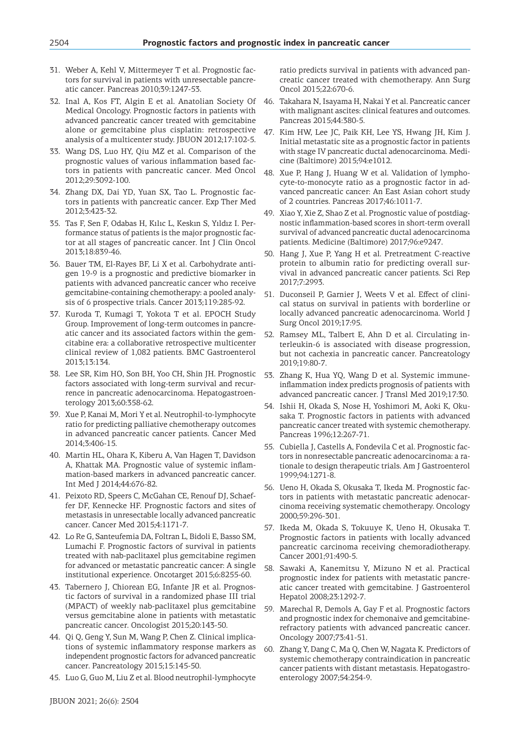- 31. Weber A, Kehl V, Mittermeyer T et al. Prognostic factors for survival in patients with unresectable pancreatic cancer. Pancreas 2010;39:1247-53.
- 32. Inal A, Kos FT, Algin E et al. Anatolian Society Of Medical Oncology. Prognostic factors in patients with advanced pancreatic cancer treated with gemcitabine alone or gemcitabine plus cisplatin: retrospective analysis of a multicenter study. JBUON 2012;17:102-5.
- 33. Wang DS, Luo HY, Qiu MZ et al. Comparison of the prognostic values of various inflammation based factors in patients with pancreatic cancer. Med Oncol 2012;29:3092-100.
- 34. Zhang DX, Dai YD, Yuan SX, Tao L. Prognostic factors in patients with pancreatic cancer. Exp Ther Med 2012;3:423-32.
- 35. Tas F, Sen F, Odabas H, Kılıc L, Keskın S, Yıldız I. Performance status of patients is the major prognostic factor at all stages of pancreatic cancer. Int J Clin Oncol 2013;18:839-46.
- 36. Bauer TM, El-Rayes BF, Li X et al. Carbohydrate antigen 19-9 is a prognostic and predictive biomarker in patients with advanced pancreatic cancer who receive gemcitabine-containing chemotherapy: a pooled analysis of 6 prospective trials. Cancer 2013;119:285-92.
- 37. Kuroda T, Kumagi T, Yokota T et al. EPOCH Study Group. Improvement of long-term outcomes in pancreatic cancer and its associated factors within the gemcitabine era: a collaborative retrospective multicenter clinical review of 1,082 patients. BMC Gastroenterol 2013;13:134.
- 38. Lee SR, Kim HO, Son BH, Yoo CH, Shin JH. Prognostic factors associated with long-term survival and recurrence in pancreatic adenocarcinoma. Hepatogastroenterology 2013;60:358-62.
- 39. Xue P, Kanai M, Mori Y et al. Neutrophil-to-lymphocyte ratio for predicting palliative chemotherapy outcomes in advanced pancreatic cancer patients. Cancer Med 2014;3:406-15.
- 40. Martin HL, Ohara K, Kiberu A, Van Hagen T, Davidson A, Khattak MA. Prognostic value of systemic inflammation-based markers in advanced pancreatic cancer. Int Med J 2014;44:676-82.
- 41. Peixoto RD, Speers C, McGahan CE, Renouf DJ, Schaeffer DF, Kennecke HF. Prognostic factors and sites of metastasis in unresectable locally advanced pancreatic cancer. Cancer Med 2015;4:1171-7.
- 42. Lo Re G, Santeufemia DA, Foltran L, Bidoli E, Basso SM, Lumachi F. Prognostic factors of survival in patients treated with nab-paclitaxel plus gemcitabine regimen for advanced or metastatic pancreatic cancer: A single institutional experience. Oncotarget 2015;6:8255-60.
- 43. Tabernero J, Chiorean EG, Infante JR et al. Prognostic factors of survival in a randomized phase III trial (MPACT) of weekly nab-paclitaxel plus gemcitabine versus gemcitabine alone in patients with metastatic pancreatic cancer. Oncologist 2015;20:143-50.
- 44. Qi Q, Geng Y, Sun M, Wang P, Chen Z. Clinical implications of systemic inflammatory response markers as independent prognostic factors for advanced pancreatic cancer. Pancreatology 2015;15:145-50.
- 45. Luo G, Guo M, Liu Z et al. Blood neutrophil-lymphocyte

ratio predicts survival in patients with advanced pancreatic cancer treated with chemotherapy. Ann Surg Oncol 2015;22:670-6.

- 46. Takahara N, Isayama H, Nakai Y et al. Pancreatic cancer with malignant ascites: clinical features and outcomes. Pancreas 2015;44:380-5.
- 47. Kim HW, Lee JC, Paik KH, Lee YS, Hwang JH, Kim J. Initial metastatic site as a prognostic factor in patients with stage IV pancreatic ductal adenocarcinoma. Medicine (Baltimore) 2015;94:e1012.
- 48. Xue P, Hang J, Huang W et al. Validation of lymphocyte-to-monocyte ratio as a prognostic factor in advanced pancreatic cancer: An East Asian cohort study of 2 countries. Pancreas 2017;46:1011-7.
- 49. Xiao Y, Xie Z, Shao Z et al. Prognostic value of postdiagnostic inflammation-based scores in short-term overall survival of advanced pancreatic ductal adenocarcinoma patients. Medicine (Baltimore) 2017;96:e9247.
- 50. Hang J, Xue P, Yang H et al. Pretreatment C-reactive protein to albumin ratio for predicting overall survival in advanced pancreatic cancer patients. Sci Rep 2017;7:2993.
- 51. Duconseil P, Garnier J, Weets V et al. Effect of clinical status on survival in patients with borderline or locally advanced pancreatic adenocarcinoma. World J Surg Oncol 2019;17:95.
- 52. Ramsey ML, Talbert E, Ahn D et al. Circulating interleukin-6 is associated with disease progression, but not cachexia in pancreatic cancer. Pancreatology 2019;19:80-7.
- 53. Zhang K, Hua YQ, Wang D et al. Systemic immuneinflammation index predicts prognosis of patients with advanced pancreatic cancer. J Transl Med 2019;17:30.
- 54. Ishii H, Okada S, Nose H, Yoshimori M, Aoki K, Okusaka T. Prognostic factors in patients with advanced pancreatic cancer treated with systemic chemotherapy. Pancreas 1996;12:267-71.
- 55. Cubiella J, Castells A, Fondevila C et al. Prognostic factors in nonresectable pancreatic adenocarcinoma: a rationale to design therapeutic trials. Am J Gastroenterol 1999;94:1271-8.
- 56. Ueno H, Okada S, Okusaka T, Ikeda M. Prognostic factors in patients with metastatic pancreatic adenocarcinoma receiving systematic chemotherapy. Oncology 2000;59:296-301.
- 57. Ikeda M, Okada S, Tokuuye K, Ueno H, Okusaka T. Prognostic factors in patients with locally advanced pancreatic carcinoma receiving chemoradiotherapy. Cancer 2001;91:490-5.
- 58. Sawaki A, Kanemitsu Y, Mizuno N et al. Practical prognostic index for patients with metastatic pancreatic cancer treated with gemcitabine. J Gastroenterol Hepatol 2008;23:1292-7.
- 59. Marechal R, Demols A, Gay F et al. Prognostic factors and prognostic index for chemonaive and gemcitabinerefractory patients with advanced pancreatic cancer. Oncology 2007;73:41-51.
- 60. Zhang Y, Dang C, Ma Q, Chen W, Nagata K. Predictors of systemic chemotherapy contraindication in pancreatic cancer patients with distant metastasis. Hepatogastroenterology 2007;54:254-9.